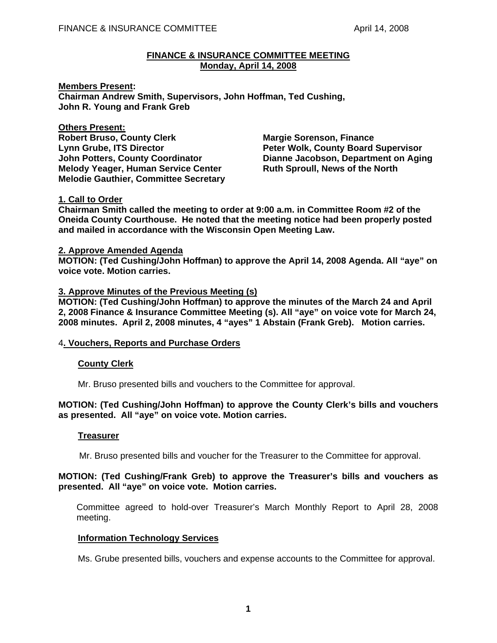## **FINANCE & INSURANCE COMMITTEE MEETING Monday, April 14, 2008**

**Members Present: Chairman Andrew Smith, Supervisors, John Hoffman, Ted Cushing, John R. Young and Frank Greb** 

# **Others Present:**

Lynn Grube, ITS Director **Peter Wolk, County Board Supervisor Melody Yeager, Human Service Center**  Ruth Sproull, News of the North **Melodie Gauthier, Committee Secretary** 

**Robert Bruso, County Clerk Margie Sorenson, Finance Communist Clergy Communist Communist Property John Potters, County Coordinator Dianne Jacobson, Department on Aging** 

# **1. Call to Order**

**Chairman Smith called the meeting to order at 9:00 a.m. in Committee Room #2 of the Oneida County Courthouse. He noted that the meeting notice had been properly posted and mailed in accordance with the Wisconsin Open Meeting Law.** 

# **2. Approve Amended Agenda**

**MOTION: (Ted Cushing/John Hoffman) to approve the April 14, 2008 Agenda. All "aye" on voice vote. Motion carries.** 

# **3. Approve Minutes of the Previous Meeting (s)**

**MOTION: (Ted Cushing/John Hoffman) to approve the minutes of the March 24 and April 2, 2008 Finance & Insurance Committee Meeting (s). All "aye" on voice vote for March 24, 2008 minutes. April 2, 2008 minutes, 4 "ayes" 1 Abstain (Frank Greb). Motion carries.** 

# 4**. Vouchers, Reports and Purchase Orders**

# **County Clerk**

Mr. Bruso presented bills and vouchers to the Committee for approval.

## **MOTION: (Ted Cushing/John Hoffman) to approve the County Clerk's bills and vouchers as presented. All "aye" on voice vote. Motion carries.**

## **Treasurer**

Mr. Bruso presented bills and voucher for the Treasurer to the Committee for approval.

# **MOTION: (Ted Cushing/Frank Greb) to approve the Treasurer's bills and vouchers as presented. All "aye" on voice vote. Motion carries.**

 Committee agreed to hold-over Treasurer's March Monthly Report to April 28, 2008 meeting.

## **Information Technology Services**

Ms. Grube presented bills, vouchers and expense accounts to the Committee for approval.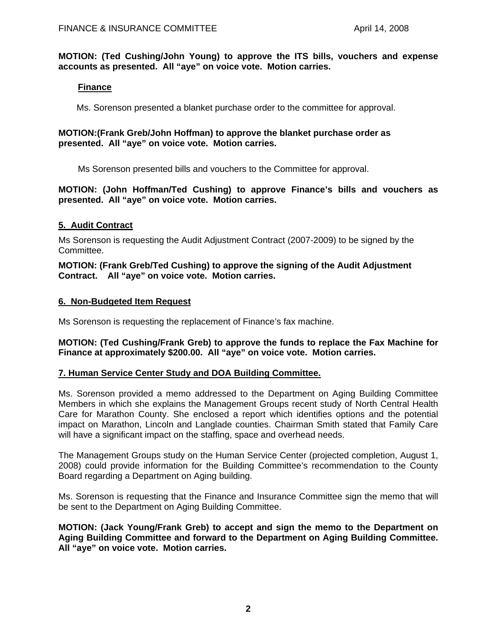**MOTION: (Ted Cushing/John Young) to approve the ITS bills, vouchers and expense accounts as presented. All "aye" on voice vote. Motion carries.**

## **Finance**

Ms. Sorenson presented a blanket purchase order to the committee for approval.

# **MOTION:(Frank Greb/John Hoffman) to approve the blanket purchase order as presented. All "aye" on voice vote. Motion carries.**

Ms Sorenson presented bills and vouchers to the Committee for approval.

**MOTION: (John Hoffman/Ted Cushing) to approve Finance's bills and vouchers as presented. All "aye" on voice vote. Motion carries.**

# **5. Audit Contract**

Ms Sorenson is requesting the Audit Adjustment Contract (2007-2009) to be signed by the Committee.

**MOTION: (Frank Greb/Ted Cushing) to approve the signing of the Audit Adjustment Contract. All "aye" on voice vote. Motion carries.** 

# **6. Non-Budgeted Item Request**

Ms Sorenson is requesting the replacement of Finance's fax machine.

**MOTION: (Ted Cushing/Frank Greb) to approve the funds to replace the Fax Machine for Finance at approximately \$200.00. All "aye" on voice vote. Motion carries.** 

## **7. Human Service Center Study and DOA Building Committee.**

Ms. Sorenson provided a memo addressed to the Department on Aging Building Committee Members in which she explains the Management Groups recent study of North Central Health Care for Marathon County. She enclosed a report which identifies options and the potential impact on Marathon, Lincoln and Langlade counties. Chairman Smith stated that Family Care will have a significant impact on the staffing, space and overhead needs.

The Management Groups study on the Human Service Center (projected completion, August 1, 2008) could provide information for the Building Committee's recommendation to the County Board regarding a Department on Aging building.

Ms. Sorenson is requesting that the Finance and Insurance Committee sign the memo that will be sent to the Department on Aging Building Committee.

**MOTION: (Jack Young/Frank Greb) to accept and sign the memo to the Department on Aging Building Committee and forward to the Department on Aging Building Committee. All "aye" on voice vote. Motion carries.**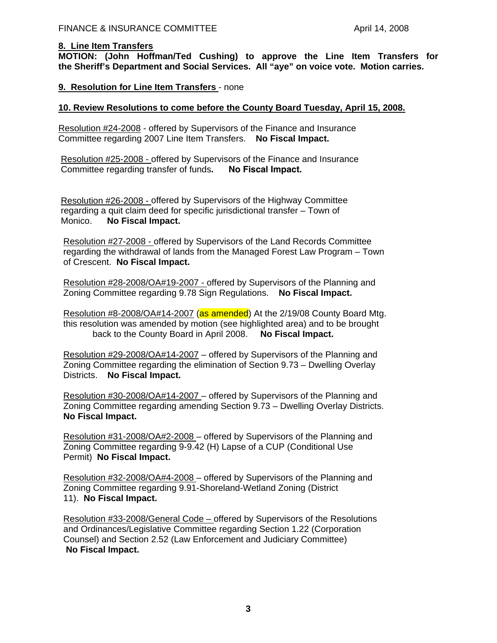## **8. Line Item Transfers**

**MOTION: (John Hoffman/Ted Cushing) to approve the Line Item Transfers for the Sheriff's Department and Social Services. All "aye" on voice vote. Motion carries.** 

# **9. Resolution for Line Item Transfers** - none

## **10. Review Resolutions to come before the County Board Tuesday, April 15, 2008.**

Resolution #24-2008 - offered by Supervisors of the Finance and Insurance Committee regarding 2007 Line Item Transfers. **No Fiscal Impact.** 

 Resolution #25-2008 - offered by Supervisors of the Finance and Insurance Committee regarding transfer of funds**. No Fiscal Impact.**

 Resolution #26-2008 - offered by Supervisors of the Highway Committee regarding a quit claim deed for specific jurisdictional transfer – Town of Monico. **No Fiscal Impact.**

 Resolution #27-2008 - offered by Supervisors of the Land Records Committee regarding the withdrawal of lands from the Managed Forest Law Program – Town of Crescent. **No Fiscal Impact.**

 Resolution #28-2008/OA#19-2007 - offered by Supervisors of the Planning and Zoning Committee regarding 9.78 Sign Regulations. **No Fiscal Impact.**

Resolution #8-2008/OA#14-2007 (as amended) At the 2/19/08 County Board Mtg. this resolution was amended by motion (see highlighted area) and to be brought back to the County Board in April 2008. **No Fiscal Impact.**

 Resolution #29-2008/OA#14-2007 – offered by Supervisors of the Planning and Zoning Committee regarding the elimination of Section 9.73 – Dwelling Overlay Districts. **No Fiscal Impact.**

 Resolution #30-2008/OA#14-2007 – offered by Supervisors of the Planning and Zoning Committee regarding amending Section 9.73 – Dwelling Overlay Districts. **No Fiscal Impact.**

 Resolution #31-2008/OA#2-2008 – offered by Supervisors of the Planning and Zoning Committee regarding 9-9.42 (H) Lapse of a CUP (Conditional Use Permit) **No Fiscal Impact.**

 Resolution #32-2008/OA#4-2008 – offered by Supervisors of the Planning and Zoning Committee regarding 9.91-Shoreland-Wetland Zoning (District 11). **No Fiscal Impact.**

 Resolution #33-2008/General Code – offered by Supervisors of the Resolutions and Ordinances/Legislative Committee regarding Section 1.22 (Corporation Counsel) and Section 2.52 (Law Enforcement and Judiciary Committee) **No Fiscal Impact.**